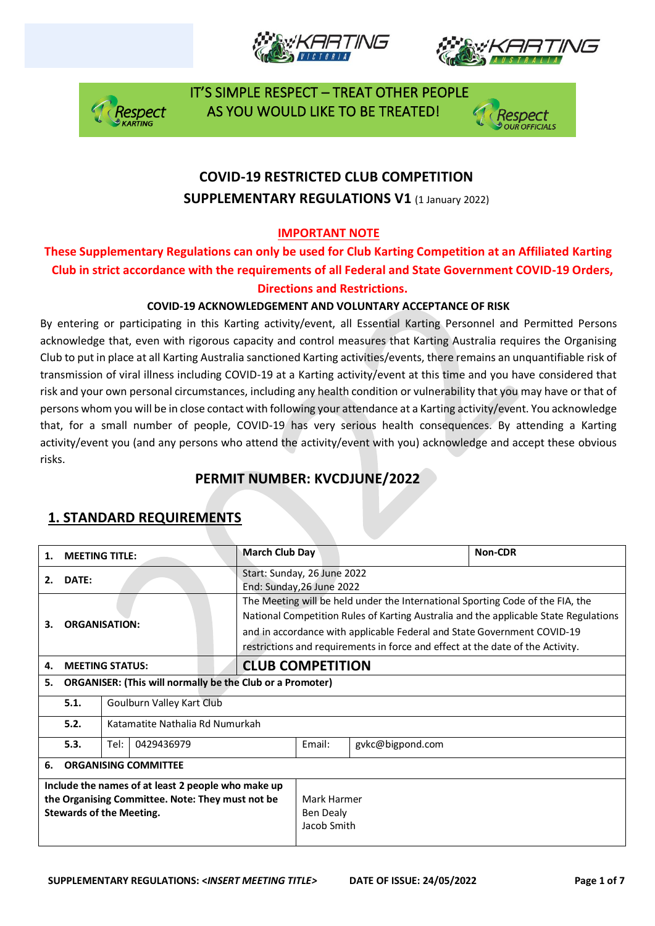







# **COVID-19 RESTRICTED CLUB COMPETITION SUPPLEMENTARY REGULATIONS V1 (1 January 2022)**

### **IMPORTANT NOTE**

### **These Supplementary Regulations can only be used for Club Karting Competition at an Affiliated Karting Club in strict accordance with the requirements of all Federal and State Government COVID-19 Orders, Directions and Restrictions.**

### **COVID-19 ACKNOWLEDGEMENT AND VOLUNTARY ACCEPTANCE OF RISK**

By entering or participating in this Karting activity/event, all Essential Karting Personnel and Permitted Persons acknowledge that, even with rigorous capacity and control measures that Karting Australia requires the Organising Club to put in place at all Karting Australia sanctioned Karting activities/events, there remains an unquantifiable risk of transmission of viral illness including COVID-19 at a Karting activity/event at this time and you have considered that risk and your own personal circumstances, including any health condition or vulnerability that you may have or that of persons whom you will be in close contact with following your attendance at a Karting activity/event. You acknowledge that, for a small number of people, COVID-19 has very serious health consequences. By attending a Karting activity/event you (and any persons who attend the activity/event with you) acknowledge and accept these obvious risks.

# **PERMIT NUMBER: KVCDJUNE/2022**

| 1.                                                                                                                                        | <b>MEETING TITLE:</b>                   |                                                                  |  | <b>March Club Day</b>                                    |        |                                                                                                                                                           | Non-CDR                                                                                                                                                                |
|-------------------------------------------------------------------------------------------------------------------------------------------|-----------------------------------------|------------------------------------------------------------------|--|----------------------------------------------------------|--------|-----------------------------------------------------------------------------------------------------------------------------------------------------------|------------------------------------------------------------------------------------------------------------------------------------------------------------------------|
| 2.                                                                                                                                        | DATE:                                   |                                                                  |  | Start: Sunday, 26 June 2022<br>End: Sunday, 26 June 2022 |        |                                                                                                                                                           |                                                                                                                                                                        |
| З.                                                                                                                                        |                                         | <b>ORGANISATION:</b>                                             |  |                                                          |        | and in accordance with applicable Federal and State Government COVID-19<br>restrictions and requirements in force and effect at the date of the Activity. | The Meeting will be held under the International Sporting Code of the FIA, the<br>National Competition Rules of Karting Australia and the applicable State Regulations |
| 4.                                                                                                                                        |                                         | <b>MEETING STATUS:</b>                                           |  | <b>CLUB COMPETITION</b>                                  |        |                                                                                                                                                           |                                                                                                                                                                        |
| 5.                                                                                                                                        |                                         | <b>ORGANISER: (This will normally be the Club or a Promoter)</b> |  |                                                          |        |                                                                                                                                                           |                                                                                                                                                                        |
|                                                                                                                                           | 5.1.<br>Goulburn Valley Kart Club       |                                                                  |  |                                                          |        |                                                                                                                                                           |                                                                                                                                                                        |
|                                                                                                                                           | 5.2.<br>Katamatite Nathalia Rd Numurkah |                                                                  |  |                                                          |        |                                                                                                                                                           |                                                                                                                                                                        |
|                                                                                                                                           | 5.3.                                    | Tel:<br>0429436979                                               |  |                                                          | Email: | gykc@bigpond.com                                                                                                                                          |                                                                                                                                                                        |
| 6.                                                                                                                                        | <b>ORGANISING COMMITTEE</b>             |                                                                  |  |                                                          |        |                                                                                                                                                           |                                                                                                                                                                        |
| Include the names of at least 2 people who make up<br>the Organising Committee. Note: They must not be<br><b>Stewards of the Meeting.</b> |                                         | Mark Harmer<br>Ben Dealy<br>Jacob Smith                          |  |                                                          |        |                                                                                                                                                           |                                                                                                                                                                        |

# **1. STANDARD REQUIREMENTS**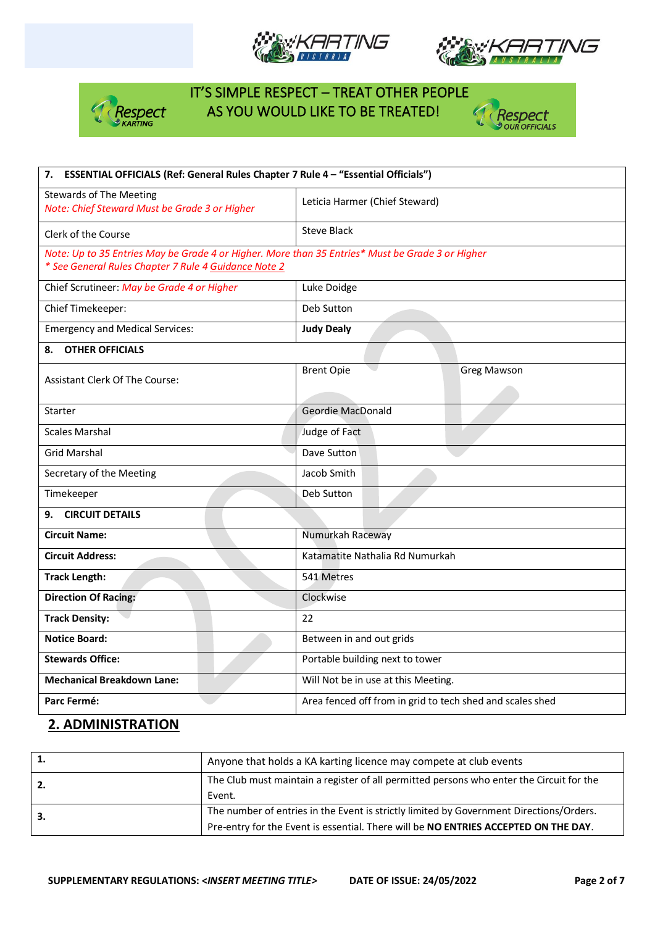







| 7. ESSENTIAL OFFICIALS (Ref: General Rules Chapter 7 Rule 4 - "Essential Officials")                                                                     |                                                           |
|----------------------------------------------------------------------------------------------------------------------------------------------------------|-----------------------------------------------------------|
| <b>Stewards of The Meeting</b><br>Note: Chief Steward Must be Grade 3 or Higher                                                                          | Leticia Harmer (Chief Steward)                            |
| Clerk of the Course                                                                                                                                      | <b>Steve Black</b>                                        |
| Note: Up to 35 Entries May be Grade 4 or Higher. More than 35 Entries* Must be Grade 3 or Higher<br>* See General Rules Chapter 7 Rule 4 Guidance Note 2 |                                                           |
| Chief Scrutineer: May be Grade 4 or Higher                                                                                                               | Luke Doidge                                               |
| Chief Timekeeper:                                                                                                                                        | Deb Sutton                                                |
| <b>Emergency and Medical Services:</b>                                                                                                                   | <b>Judy Dealy</b>                                         |
| <b>OTHER OFFICIALS</b><br>8.                                                                                                                             |                                                           |
| <b>Assistant Clerk Of The Course:</b>                                                                                                                    | <b>Brent Opie</b><br><b>Greg Mawson</b>                   |
|                                                                                                                                                          |                                                           |
| Starter                                                                                                                                                  | <b>Geordie MacDonald</b>                                  |
| <b>Scales Marshal</b>                                                                                                                                    | Judge of Fact                                             |
| <b>Grid Marshal</b>                                                                                                                                      | Dave Sutton                                               |
| Secretary of the Meeting                                                                                                                                 | Jacob Smith                                               |
| Timekeeper                                                                                                                                               | Deb Sutton                                                |
| <b>CIRCUIT DETAILS</b><br>9.                                                                                                                             |                                                           |
| <b>Circuit Name:</b>                                                                                                                                     | Numurkah Raceway                                          |
| <b>Circuit Address:</b>                                                                                                                                  | Katamatite Nathalia Rd Numurkah                           |
| <b>Track Length:</b>                                                                                                                                     | 541 Metres                                                |
| <b>Direction Of Racing:</b>                                                                                                                              | Clockwise                                                 |
| <b>Track Density:</b>                                                                                                                                    | 22                                                        |
| <b>Notice Board:</b>                                                                                                                                     | Between in and out grids                                  |
| <b>Stewards Office:</b>                                                                                                                                  | Portable building next to tower                           |
| <b>Mechanical Breakdown Lane:</b>                                                                                                                        | Will Not be in use at this Meeting.                       |
| Parc Fermé:                                                                                                                                              | Area fenced off from in grid to tech shed and scales shed |

## **2. ADMINISTRATION**

|    | Anyone that holds a KA karting licence may compete at club events                                                                                                              |  |
|----|--------------------------------------------------------------------------------------------------------------------------------------------------------------------------------|--|
| 2. | The Club must maintain a register of all permitted persons who enter the Circuit for the<br>Event.                                                                             |  |
| 3. | The number of entries in the Event is strictly limited by Government Directions/Orders.<br>Pre-entry for the Event is essential. There will be NO ENTRIES ACCEPTED ON THE DAY. |  |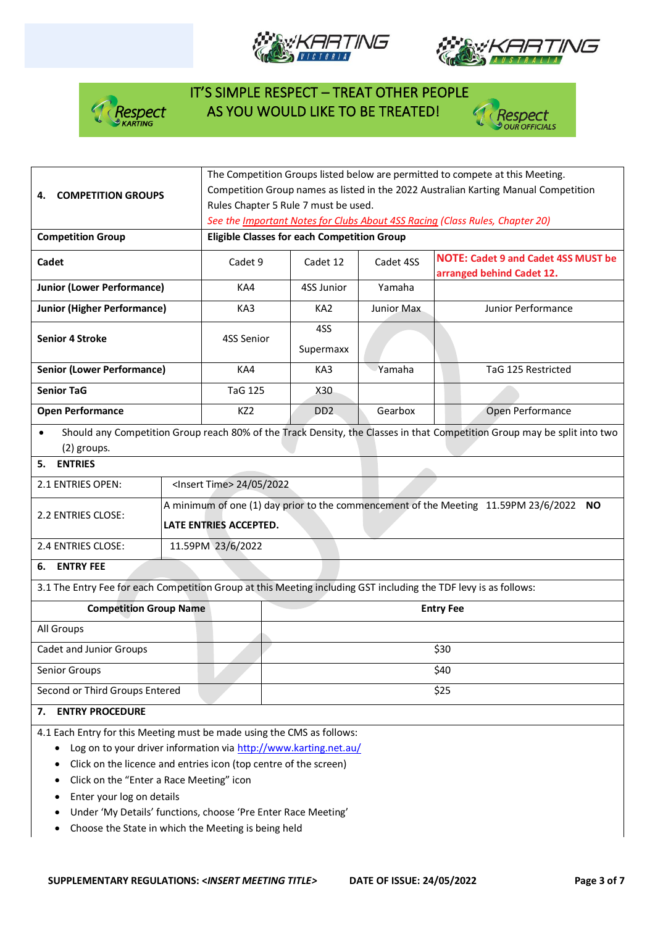







|                                                                                                                  |                                                    | The Competition Groups listed below are permitted to compete at this Meeting.          |                             |                                                                              |                                                                                                                          |  |  |  |
|------------------------------------------------------------------------------------------------------------------|----------------------------------------------------|----------------------------------------------------------------------------------------|-----------------------------|------------------------------------------------------------------------------|--------------------------------------------------------------------------------------------------------------------------|--|--|--|
| <b>COMPETITION GROUPS</b><br>4.                                                                                  |                                                    | Competition Group names as listed in the 2022 Australian Karting Manual Competition    |                             |                                                                              |                                                                                                                          |  |  |  |
|                                                                                                                  |                                                    | Rules Chapter 5 Rule 7 must be used.                                                   |                             |                                                                              |                                                                                                                          |  |  |  |
|                                                                                                                  |                                                    |                                                                                        |                             | See the Important Notes for Clubs About 4SS Racing (Class Rules, Chapter 20) |                                                                                                                          |  |  |  |
| <b>Competition Group</b>                                                                                         | <b>Eligible Classes for each Competition Group</b> |                                                                                        |                             |                                                                              |                                                                                                                          |  |  |  |
| Cadet                                                                                                            |                                                    | Cadet 9                                                                                | Cadet 12                    | Cadet 4SS                                                                    | <b>NOTE: Cadet 9 and Cadet 4SS MUST be</b>                                                                               |  |  |  |
|                                                                                                                  |                                                    |                                                                                        |                             | arranged behind Cadet 12.                                                    |                                                                                                                          |  |  |  |
| <b>Junior (Lower Performance)</b>                                                                                | KA4                                                | 4SS Junior<br>Yamaha                                                                   |                             |                                                                              |                                                                                                                          |  |  |  |
| <b>Junior (Higher Performance)</b>                                                                               |                                                    | KA3                                                                                    | KA <sub>2</sub>             | Junior Max                                                                   | Junior Performance                                                                                                       |  |  |  |
| <b>Senior 4 Stroke</b>                                                                                           |                                                    | 4SS Senior                                                                             | 4SS                         |                                                                              |                                                                                                                          |  |  |  |
|                                                                                                                  |                                                    |                                                                                        | Supermaxx                   |                                                                              |                                                                                                                          |  |  |  |
| <b>Senior (Lower Performance)</b>                                                                                |                                                    | KA4                                                                                    | KA3                         | Yamaha                                                                       | TaG 125 Restricted                                                                                                       |  |  |  |
| <b>Senior TaG</b>                                                                                                |                                                    | <b>TaG 125</b>                                                                         | X30                         |                                                                              |                                                                                                                          |  |  |  |
| <b>Open Performance</b>                                                                                          |                                                    | KZ <sub>2</sub>                                                                        | D <sub>D</sub> <sub>2</sub> | Gearbox                                                                      | Open Performance                                                                                                         |  |  |  |
| $\bullet$                                                                                                        |                                                    |                                                                                        |                             |                                                                              | Should any Competition Group reach 80% of the Track Density, the Classes in that Competition Group may be split into two |  |  |  |
| (2) groups.                                                                                                      |                                                    |                                                                                        |                             |                                                                              |                                                                                                                          |  |  |  |
| <b>ENTRIES</b><br>5.                                                                                             |                                                    |                                                                                        |                             |                                                                              |                                                                                                                          |  |  |  |
| 2.1 ENTRIES OPEN:                                                                                                |                                                    | <lnsert time=""> 24/05/2022</lnsert>                                                   |                             |                                                                              |                                                                                                                          |  |  |  |
|                                                                                                                  |                                                    | A minimum of one (1) day prior to the commencement of the Meeting 11.59PM 23/6/2022 NO |                             |                                                                              |                                                                                                                          |  |  |  |
| 2.2 ENTRIES CLOSE:                                                                                               |                                                    | LATE ENTRIES ACCEPTED.                                                                 |                             |                                                                              |                                                                                                                          |  |  |  |
| 2.4 ENTRIES CLOSE:                                                                                               |                                                    | 11.59PM 23/6/2022                                                                      |                             |                                                                              |                                                                                                                          |  |  |  |
| <b>ENTRY FEE</b><br>6.                                                                                           |                                                    |                                                                                        |                             |                                                                              |                                                                                                                          |  |  |  |
| 3.1 The Entry Fee for each Competition Group at this Meeting including GST including the TDF levy is as follows: |                                                    |                                                                                        |                             |                                                                              |                                                                                                                          |  |  |  |
| <b>Competition Group Name</b>                                                                                    |                                                    |                                                                                        |                             |                                                                              | <b>Entry Fee</b>                                                                                                         |  |  |  |
| All Groups                                                                                                       |                                                    |                                                                                        |                             |                                                                              |                                                                                                                          |  |  |  |
| Cadet and Junior Groups                                                                                          |                                                    |                                                                                        |                             |                                                                              | \$30                                                                                                                     |  |  |  |
| Senior Groups                                                                                                    |                                                    |                                                                                        |                             |                                                                              | \$40                                                                                                                     |  |  |  |
| Second or Third Groups Entered                                                                                   |                                                    |                                                                                        |                             |                                                                              | \$25                                                                                                                     |  |  |  |
| <b>ENTRY PROCEDURE</b><br>7.                                                                                     |                                                    |                                                                                        |                             |                                                                              |                                                                                                                          |  |  |  |
| 4.1 Each Entry for this Meeting must be made using the CMS as follows:                                           |                                                    |                                                                                        |                             |                                                                              |                                                                                                                          |  |  |  |
| Log on to your driver information via http://www.karting.net.au/<br>٠                                            |                                                    |                                                                                        |                             |                                                                              |                                                                                                                          |  |  |  |
| Click on the licence and entries icon (top centre of the screen)                                                 |                                                    |                                                                                        |                             |                                                                              |                                                                                                                          |  |  |  |
| Click on the "Enter a Race Meeting" icon                                                                         |                                                    |                                                                                        |                             |                                                                              |                                                                                                                          |  |  |  |
| Enter your log on details<br>٠                                                                                   |                                                    |                                                                                        |                             |                                                                              |                                                                                                                          |  |  |  |
| Under 'My Details' functions, choose 'Pre Enter Race Meeting'                                                    |                                                    |                                                                                        |                             |                                                                              |                                                                                                                          |  |  |  |

• Choose the State in which the Meeting is being held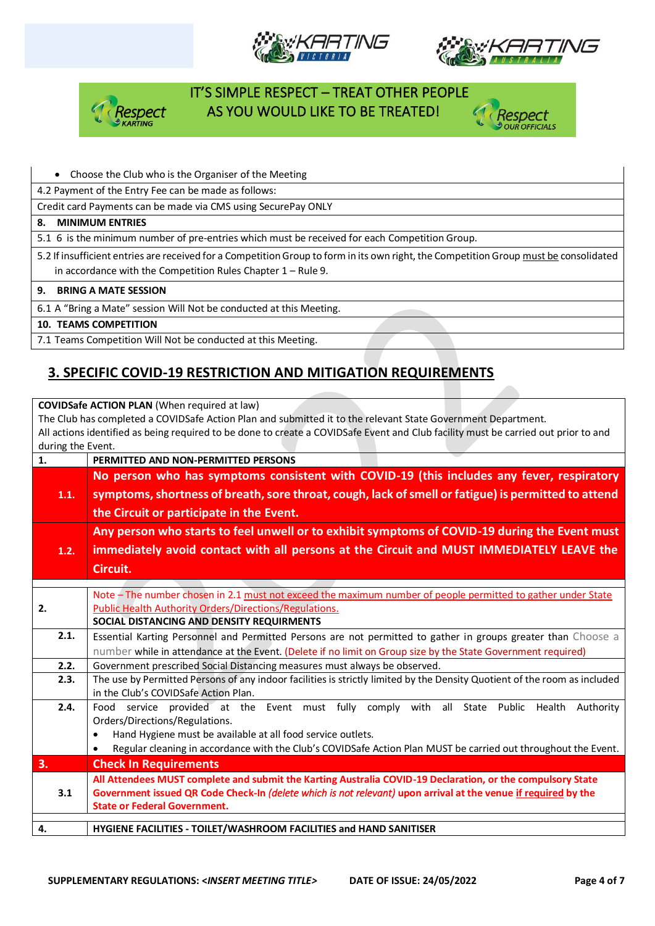







### • Choose the Club who is the Organiser of the Meeting

4.2 Payment of the Entry Fee can be made as follows:

Credit card Payments can be made via CMS using SecurePay ONLY

#### **8. MINIMUM ENTRIES**

5.1 6 is the minimum number of pre-entries which must be received for each Competition Group.

5.2 If insufficient entries are received for a Competition Group to form in its own right, the Competition Group must be consolidated in accordance with the Competition Rules Chapter 1 – Rule 9.

#### **9. BRING A MATE SESSION**

6.1 A "Bring a Mate" session Will Not be conducted at this Meeting.

#### **10. TEAMS COMPETITION**

7.1 Teams Competition Will Not be conducted at this Meeting.

# **3. SPECIFIC COVID-19 RESTRICTION AND MITIGATION REQUIREMENTS**

**COVIDSafe ACTION PLAN** (When required at law)

The Club has completed a COVIDSafe Action Plan and submitted it to the relevant State Government Department. All actions identified as being required to be done to create a COVIDSafe Event and Club facility must be carried out prior to and during the Event.

| $1000$ $111$ $1100$ $1100$<br>1. | PERMITTED AND NON-PERMITTED PERSONS                                                                                       |
|----------------------------------|---------------------------------------------------------------------------------------------------------------------------|
|                                  | No person who has symptoms consistent with COVID-19 (this includes any fever, respiratory                                 |
| 1.1.                             | symptoms, shortness of breath, sore throat, cough, lack of smell or fatigue) is permitted to attend                       |
|                                  |                                                                                                                           |
|                                  | the Circuit or participate in the Event.                                                                                  |
|                                  | Any person who starts to feel unwell or to exhibit symptoms of COVID-19 during the Event must                             |
| 1.2.                             | immediately avoid contact with all persons at the Circuit and MUST IMMEDIATELY LEAVE the                                  |
|                                  | Circuit.                                                                                                                  |
|                                  |                                                                                                                           |
|                                  | Note - The number chosen in 2.1 must not exceed the maximum number of people permitted to gather under State              |
| 2.                               | <b>Public Health Authority Orders/Directions/Regulations.</b>                                                             |
|                                  | SOCIAL DISTANCING AND DENSITY REQUIRMENTS                                                                                 |
| 2.1.                             | Essential Karting Personnel and Permitted Persons are not permitted to gather in groups greater than Choose a             |
|                                  | number while in attendance at the Event. (Delete if no limit on Group size by the State Government required)              |
| 2.2.                             | Government prescribed Social Distancing measures must always be observed.                                                 |
| 2.3.                             | The use by Permitted Persons of any indoor facilities is strictly limited by the Density Quotient of the room as included |
|                                  | in the Club's COVIDSafe Action Plan.                                                                                      |
| 2.4.                             | Food service provided at the Event must fully comply with all State Public Health Authority                               |
|                                  | Orders/Directions/Regulations.                                                                                            |
|                                  | Hand Hygiene must be available at all food service outlets.                                                               |
|                                  | Regular cleaning in accordance with the Club's COVIDSafe Action Plan MUST be carried out throughout the Event.            |
| 3.                               | <b>Check In Requirements</b>                                                                                              |
|                                  | All Attendees MUST complete and submit the Karting Australia COVID-19 Declaration, or the compulsory State                |
| 3.1                              | Government issued QR Code Check-In (delete which is not relevant) upon arrival at the venue if required by the            |
|                                  | <b>State or Federal Government.</b>                                                                                       |
|                                  |                                                                                                                           |
| 4.                               | HYGIENE FACILITIES - TOILET/WASHROOM FACILITIES and HAND SANITISER                                                        |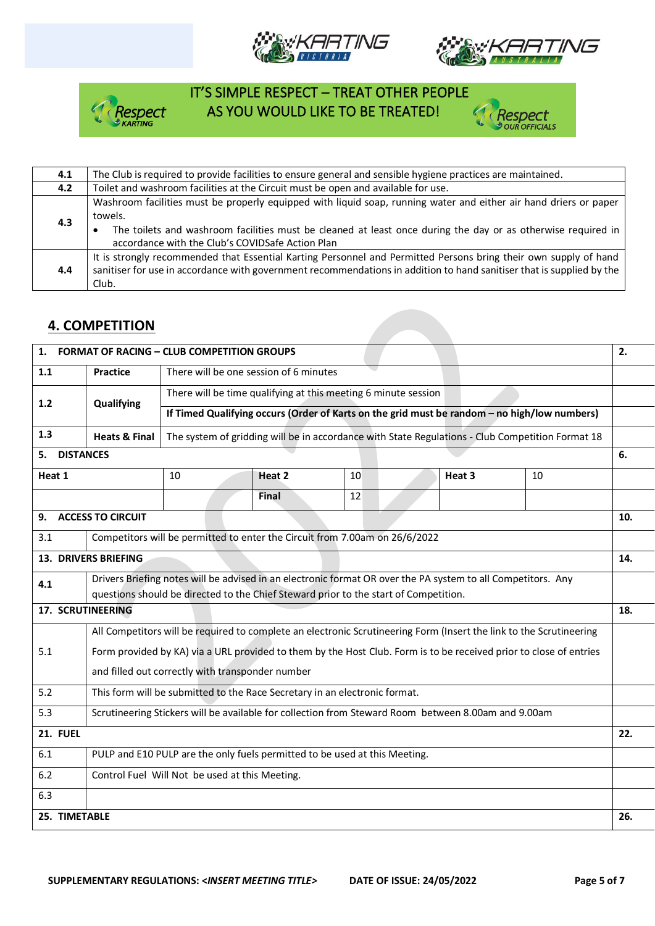







| 4.1 | The Club is required to provide facilities to ensure general and sensible hygiene practices are maintained.                                                                                                                                                                                      |
|-----|--------------------------------------------------------------------------------------------------------------------------------------------------------------------------------------------------------------------------------------------------------------------------------------------------|
| 4.2 | Toilet and washroom facilities at the Circuit must be open and available for use.                                                                                                                                                                                                                |
| 4.3 | Washroom facilities must be properly equipped with liquid soap, running water and either air hand driers or paper<br>towels.<br>The toilets and washroom facilities must be cleaned at least once during the day or as otherwise required in<br>accordance with the Club's COVIDSafe Action Plan |
| 4.4 | It is strongly recommended that Essential Karting Personnel and Permitted Persons bring their own supply of hand<br>sanitiser for use in accordance with government recommendations in addition to hand sanitiser that is supplied by the<br>Club.                                               |

# **4. COMPETITION**

| 1.                |                                                                                                              | <b>FORMAT OF RACING - CLUB COMPETITION GROUPS</b>                                            |                                                                                                                     |    |  |        |                                                                                                                    | 2.  |
|-------------------|--------------------------------------------------------------------------------------------------------------|----------------------------------------------------------------------------------------------|---------------------------------------------------------------------------------------------------------------------|----|--|--------|--------------------------------------------------------------------------------------------------------------------|-----|
| 1.1               | <b>Practice</b>                                                                                              |                                                                                              | There will be one session of 6 minutes                                                                              |    |  |        |                                                                                                                    |     |
| 1.2               | Qualifying                                                                                                   | There will be time qualifying at this meeting 6 minute session                               |                                                                                                                     |    |  |        |                                                                                                                    |     |
|                   |                                                                                                              | If Timed Qualifying occurs (Order of Karts on the grid must be random - no high/low numbers) |                                                                                                                     |    |  |        |                                                                                                                    |     |
| 1.3               | <b>Heats &amp; Final</b>                                                                                     |                                                                                              |                                                                                                                     |    |  |        | The system of gridding will be in accordance with State Regulations - Club Competition Format 18                   |     |
| 5.                | <b>DISTANCES</b>                                                                                             |                                                                                              |                                                                                                                     |    |  |        |                                                                                                                    | 6.  |
| Heat 1            |                                                                                                              | 10                                                                                           | Heat 2                                                                                                              | 10 |  | Heat 3 | 10                                                                                                                 |     |
|                   |                                                                                                              |                                                                                              | Final                                                                                                               | 12 |  |        |                                                                                                                    |     |
| 9.                | <b>ACCESS TO CIRCUIT</b>                                                                                     |                                                                                              |                                                                                                                     |    |  |        |                                                                                                                    | 10. |
| 3.1               |                                                                                                              |                                                                                              | Competitors will be permitted to enter the Circuit from 7.00am on 26/6/2022                                         |    |  |        |                                                                                                                    |     |
|                   | <b>13. DRIVERS BRIEFING</b>                                                                                  |                                                                                              |                                                                                                                     |    |  |        | 14.                                                                                                                |     |
| 4.1               | Drivers Briefing notes will be advised in an electronic format OR over the PA system to all Competitors. Any |                                                                                              |                                                                                                                     |    |  |        |                                                                                                                    |     |
|                   |                                                                                                              |                                                                                              | questions should be directed to the Chief Steward prior to the start of Competition.                                |    |  |        |                                                                                                                    |     |
| 17. SCRUTINEERING |                                                                                                              |                                                                                              |                                                                                                                     |    |  |        |                                                                                                                    | 18. |
|                   |                                                                                                              |                                                                                              | All Competitors will be required to complete an electronic Scrutineering Form (Insert the link to the Scrutineering |    |  |        |                                                                                                                    |     |
| 5.1               |                                                                                                              |                                                                                              |                                                                                                                     |    |  |        | Form provided by KA) via a URL provided to them by the Host Club. Form is to be received prior to close of entries |     |
|                   |                                                                                                              | and filled out correctly with transponder number                                             |                                                                                                                     |    |  |        |                                                                                                                    |     |
| 5.2               |                                                                                                              |                                                                                              | This form will be submitted to the Race Secretary in an electronic format.                                          |    |  |        |                                                                                                                    |     |
| 5.3               |                                                                                                              |                                                                                              | Scrutineering Stickers will be available for collection from Steward Room between 8.00am and 9.00am                 |    |  |        |                                                                                                                    |     |
| <b>21. FUEL</b>   |                                                                                                              |                                                                                              |                                                                                                                     |    |  |        |                                                                                                                    | 22. |
| 6.1               |                                                                                                              |                                                                                              | PULP and E10 PULP are the only fuels permitted to be used at this Meeting.                                          |    |  |        |                                                                                                                    |     |
| 6.2               |                                                                                                              | Control Fuel Will Not be used at this Meeting.                                               |                                                                                                                     |    |  |        |                                                                                                                    |     |
| 6.3               |                                                                                                              |                                                                                              |                                                                                                                     |    |  |        |                                                                                                                    |     |
| 25. TIMETABLE     |                                                                                                              |                                                                                              |                                                                                                                     |    |  | 26.    |                                                                                                                    |     |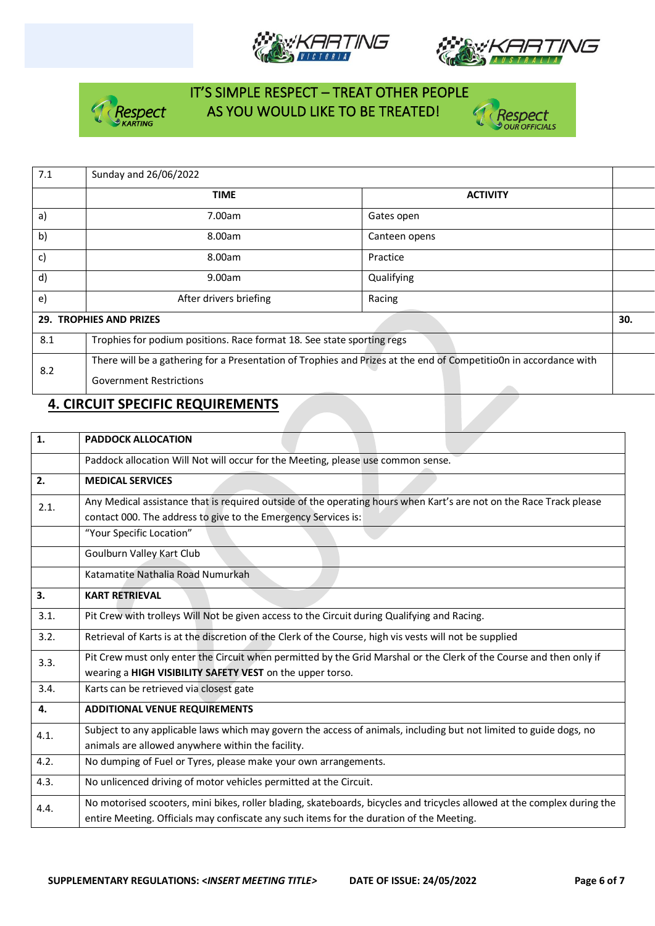







| 7.1           | Sunday and 26/06/2022                                                  |                                                                                                                   |     |
|---------------|------------------------------------------------------------------------|-------------------------------------------------------------------------------------------------------------------|-----|
|               | <b>TIME</b>                                                            | <b>ACTIVITY</b>                                                                                                   |     |
| $\mathsf{a}$  | 7.00am                                                                 | Gates open                                                                                                        |     |
| b)            | 8.00am                                                                 | Canteen opens                                                                                                     |     |
| $\mathsf{c})$ | 8.00am                                                                 | Practice                                                                                                          |     |
| $\mathsf{d}$  | 9.00am                                                                 | Qualifying                                                                                                        |     |
| $\epsilon$    | After drivers briefing                                                 | Racing                                                                                                            |     |
|               | <b>29. TROPHIES AND PRIZES</b>                                         |                                                                                                                   | 30. |
| 8.1           | Trophies for podium positions. Race format 18. See state sporting regs |                                                                                                                   |     |
| 8.2           |                                                                        | There will be a gathering for a Presentation of Trophies and Prizes at the end of Competitio0n in accordance with |     |
|               | <b>Government Restrictions</b>                                         |                                                                                                                   |     |

## **4. CIRCUIT SPECIFIC REQUIREMENTS**

| $\mathbf{1}$ | <b>PADDOCK ALLOCATION</b>                                                                                                                                                                                            |
|--------------|----------------------------------------------------------------------------------------------------------------------------------------------------------------------------------------------------------------------|
|              | Paddock allocation Will Not will occur for the Meeting, please use common sense.                                                                                                                                     |
| 2.           | <b>MEDICAL SERVICES</b>                                                                                                                                                                                              |
| 2.1.         | Any Medical assistance that is required outside of the operating hours when Kart's are not on the Race Track please<br>contact 000. The address to give to the Emergency Services is:                                |
|              | "Your Specific Location"                                                                                                                                                                                             |
|              | Goulburn Valley Kart Club                                                                                                                                                                                            |
|              | Katamatite Nathalia Road Numurkah                                                                                                                                                                                    |
| 3.           | <b>KART RETRIEVAL</b>                                                                                                                                                                                                |
| 3.1.         | Pit Crew with trolleys Will Not be given access to the Circuit during Qualifying and Racing.                                                                                                                         |
| 3.2.         | Retrieval of Karts is at the discretion of the Clerk of the Course, high vis vests will not be supplied                                                                                                              |
| 3.3.         | Pit Crew must only enter the Circuit when permitted by the Grid Marshal or the Clerk of the Course and then only if<br>wearing a HIGH VISIBILITY SAFETY VEST on the upper torso.                                     |
| 3.4.         | Karts can be retrieved via closest gate                                                                                                                                                                              |
| 4.           | <b>ADDITIONAL VENUE REQUIREMENTS</b>                                                                                                                                                                                 |
| 4.1.         | Subject to any applicable laws which may govern the access of animals, including but not limited to guide dogs, no<br>animals are allowed anywhere within the facility.                                              |
| 4.2.         | No dumping of Fuel or Tyres, please make your own arrangements.                                                                                                                                                      |
| 4.3.         | No unlicenced driving of motor vehicles permitted at the Circuit.                                                                                                                                                    |
| 4.4.         | No motorised scooters, mini bikes, roller blading, skateboards, bicycles and tricycles allowed at the complex during the<br>entire Meeting. Officials may confiscate any such items for the duration of the Meeting. |